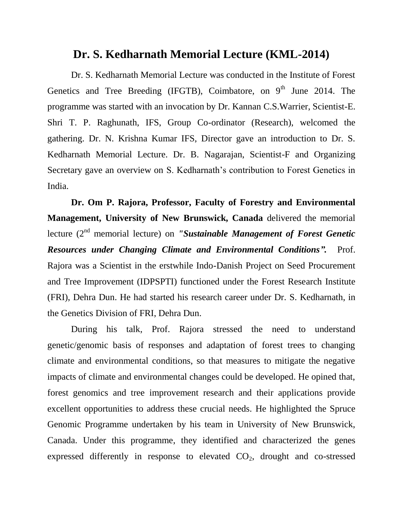## **Dr. S. Kedharnath Memorial Lecture (KML-2014)**

Dr. S. Kedharnath Memorial Lecture was conducted in the Institute of Forest Genetics and Tree Breeding (IFGTB), Coimbatore, on  $9<sup>th</sup>$  June 2014. The programme was started with an invocation by Dr. Kannan C.S.Warrier, Scientist-E. Shri T. P. Raghunath, IFS, Group Co-ordinator (Research), welcomed the gathering. Dr. N. Krishna Kumar IFS, Director gave an introduction to Dr. S. Kedharnath Memorial Lecture. Dr. B. Nagarajan, Scientist-F and Organizing Secretary gave an overview on S. Kedharnath's contribution to Forest Genetics in India.

**Dr. Om P. Rajora, Professor, Faculty of Forestry and Environmental Management, University of New Brunswick, Canada** delivered the memorial lecture (2nd memorial lecture) on *"Sustainable Management of Forest Genetic Resources under Changing Climate and Environmental Conditions".* Prof. Rajora was a Scientist in the erstwhile Indo-Danish Project on Seed Procurement and Tree Improvement (IDPSPTI) functioned under the Forest Research Institute (FRI), Dehra Dun. He had started his research career under Dr. S. Kedharnath, in the Genetics Division of FRI, Dehra Dun.

During his talk, Prof. Rajora stressed the need to understand genetic/genomic basis of responses and adaptation of forest trees to changing climate and environmental conditions, so that measures to mitigate the negative impacts of climate and environmental changes could be developed. He opined that, forest genomics and tree improvement research and their applications provide excellent opportunities to address these crucial needs. He highlighted the Spruce Genomic Programme undertaken by his team in University of New Brunswick, Canada. Under this programme, they identified and characterized the genes expressed differently in response to elevated  $CO<sub>2</sub>$ , drought and co-stressed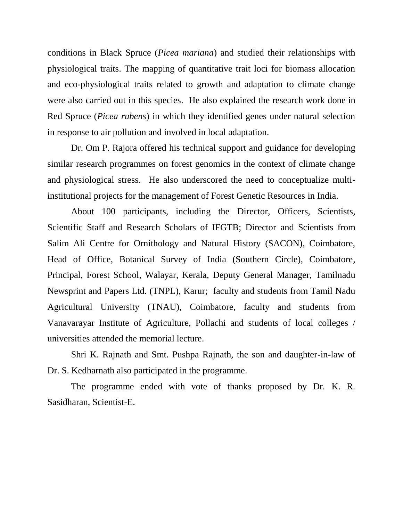conditions in Black Spruce (*Picea mariana*) and studied their relationships with physiological traits. The mapping of quantitative trait loci for biomass allocation and eco-physiological traits related to growth and adaptation to climate change were also carried out in this species. He also explained the research work done in Red Spruce (*Picea rubens*) in which they identified genes under natural selection in response to air pollution and involved in local adaptation.

Dr. Om P. Rajora offered his technical support and guidance for developing similar research programmes on forest genomics in the context of climate change and physiological stress. He also underscored the need to conceptualize multiinstitutional projects for the management of Forest Genetic Resources in India.

About 100 participants, including the Director, Officers, Scientists, Scientific Staff and Research Scholars of IFGTB; Director and Scientists from Salim Ali Centre for Ornithology and Natural History (SACON), Coimbatore, Head of Office, Botanical Survey of India (Southern Circle), Coimbatore, Principal, Forest School, Walayar, Kerala, Deputy General Manager, Tamilnadu Newsprint and Papers Ltd. (TNPL), Karur; faculty and students from Tamil Nadu Agricultural University (TNAU), Coimbatore, faculty and students from Vanavarayar Institute of Agriculture, Pollachi and students of local colleges / universities attended the memorial lecture.

Shri K. Rajnath and Smt. Pushpa Rajnath, the son and daughter-in-law of Dr. S. Kedharnath also participated in the programme.

The programme ended with vote of thanks proposed by Dr. K. R. Sasidharan, Scientist-E.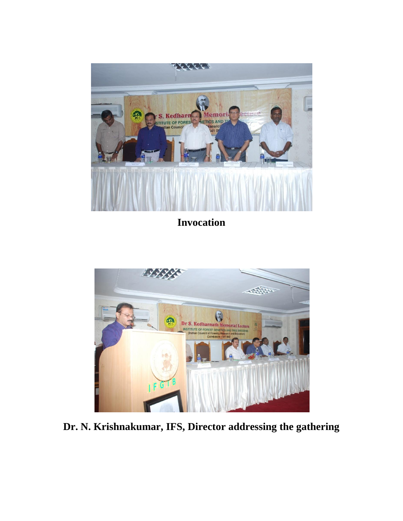

**Invocation**



**Dr. N. Krishnakumar, IFS, Director addressing the gathering**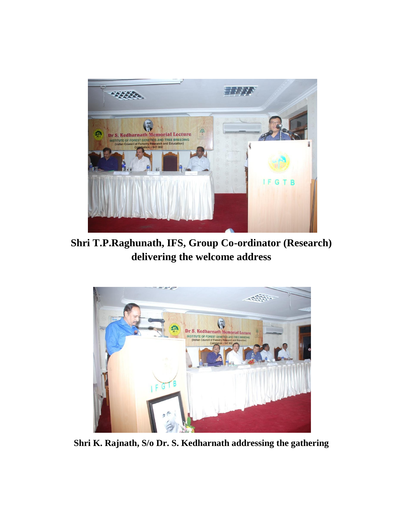

**Shri T.P.Raghunath, IFS, Group Co-ordinator (Research) delivering the welcome address**



**Shri K. Rajnath, S/o Dr. S. Kedharnath addressing the gathering**